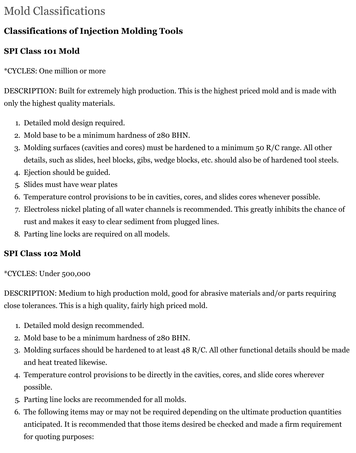# Mold Classifications

## **Classifications of Injection Molding Tools**

### **SPI Class 101 Mold**

\*CYCLES: One million or more

DESCRIPTION: Built for extremely high production. This is the highest priced mold and is made with only the highest quality materials.

- 1. Detailed mold design required.
- 2. Mold base to be a minimum hardness of 280 BHN.
- 3. Molding surfaces (cavities and cores) must be hardened to a minimum 50 R/C range. All other details, such as slides, heel blocks, gibs, wedge blocks, etc. should also be of hardened tool steels.
- 4. Ejection should be guided.
- 5. Slides must have wear plates
- 6. Temperature control provisions to be in cavities, cores, and slides cores whenever possible.
- 7. Electroless nickel plating of all water channels is recommended. This greatly inhibits the chance of rust and makes it easy to clear sediment from plugged lines.
- 8. Parting line locks are required on all models.

### **SPI Class 102 Mold**

#### \*CYCLES: Under 500,000

DESCRIPTION: Medium to high production mold, good for abrasive materials and/or parts requiring close tolerances. This is a high quality, fairly high priced mold.

- 1. Detailed mold design recommended.
- 2. Mold base to be a minimum hardness of 280 BHN.
- 3. Molding surfaces should be hardened to at least 48 R/C. All other functional details should be made and heat treated likewise.
- 4. Temperature control provisions to be directly in the cavities, cores, and slide cores wherever possible.
- 5. Parting line locks are recommended for all molds.
- 6. The following items may or may not be required depending on the ultimate production quantities anticipated. It is recommended that those items desired be checked and made a firm requirement for quoting purposes: